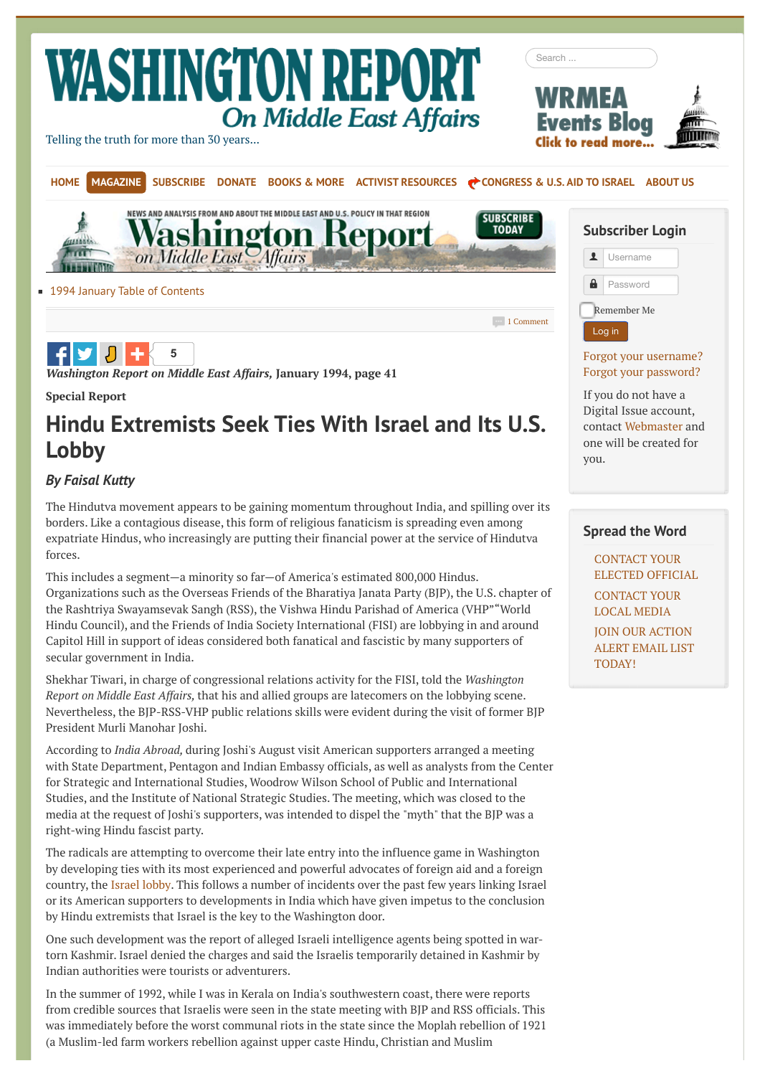# **WASHINGTON REPOR On Middle East Affairs**

[Telling the truth for more than 30 years...](http://www.wrmea.org/)

**[5](http://www.wrmea.org/1994-january/hindu-extremists-seek-ties-with-israel-and-its-u.s.-lobby.html#)**

*Washington Report on Middle East Affairs,* **January 1994, page 41**





**[1994 January Table of Contents](http://www.wrmea.org/1994-january/1994-january-table-of-contents.html)** 

[1 Comment](http://www.wrmea.org/1994-january/hindu-extremists-seek-ties-with-israel-and-its-u.s.-lobby.html#disqus_thread)

## Remember Me Log in

#### [Forgot your username?](http://www.wrmea.org/lost-user-name.html) [Forgot your password?](http://www.wrmea.org/lost-password.html)

If you do not have a Digital Issue account, contact [Webmaster](mailto:webmaster@wrmea.org?subject=Please%20sign%20me%20up%20for%20Digital%20Issue%20access) and one will be created for you.

#### **Spread the Word**

CONTACT YOUR [ELECTED OFFICIAL](http://bebusinessed.com/congress-fax-numbers/) [CONTACT YOUR](http://www.refdesk.com/paper.html) LOCAL MEDIA

JOIN OUR ACTION [ALERT EMAIL LIST](http://mail.wrmea.org/) TODAY!

# **Hindu Extremists Seek Ties With Israel and Its U.S. Lobby**

#### *By Faisal Kutty*

**Special Report**

The Hindutva movement appears to be gaining momentum throughout India, and spilling over its borders. Like a contagious disease, this form of religious fanaticism is spreading even among expatriate Hindus, who increasingly are putting their financial power at the service of Hindutva forces.

This includes a segment—a minority so far—of America's estimated 800,000 Hindus. Organizations such as the Overseas Friends of the Bharatiya Janata Party (BJP), the U.S. chapter of the Rashtriya Swayamsevak Sangh (RSS), the Vishwa Hindu Parishad of America (VHP""World Hindu Council), and the Friends of India Society International (FISI) are lobbying in and around Capitol Hill in support of ideas considered both fanatical and fascistic by many supporters of secular government in India.

Shekhar Tiwari, in charge of congressional relations activity for the FISI, told the *Washington Report on Middle East Affairs,* that his and allied groups are latecomers on the lobbying scene. Nevertheless, the BJP-RSS-VHP public relations skills were evident during the visit of former BJP President Murli Manohar Joshi.

According to *India Abroad,* during Joshi's August visit American supporters arranged a meeting with State Department, Pentagon and Indian Embassy officials, as well as analysts from the Center for Strategic and International Studies, Woodrow Wilson School of Public and International Studies, and the Institute of National Strategic Studies. The meeting, which was closed to the media at the request of Joshi's supporters, was intended to dispel the "myth" that the BJP was a right-wing Hindu fascist party.

The radicals are attempting to overcome their late entry into the influence game in Washington by developing ties with its most experienced and powerful advocates of foreign aid and a foreign country, the [Israel lobby.](http://www.wrmea.org/2002-may/distorting-u.s.-foreign-policy-the-israel-lobby-and-american-power.html) This follows a number of incidents over the past few years linking Israel or its American supporters to developments in India which have given impetus to the conclusion by Hindu extremists that Israel is the key to the Washington door.

One such development was the report of alleged Israeli intelligence agents being spotted in wartorn Kashmir. Israel denied the charges and said the Israelis temporarily detained in Kashmir by Indian authorities were tourists or adventurers.

In the summer of 1992, while I was in Kerala on India's southwestern coast, there were reports from credible sources that Israelis were seen in the state meeting with BJP and RSS officials. This was immediately before the worst communal riots in the state since the Moplah rebellion of 1921 (a Muslim-led farm workers rebellion against upper caste Hindu, Christian and Muslim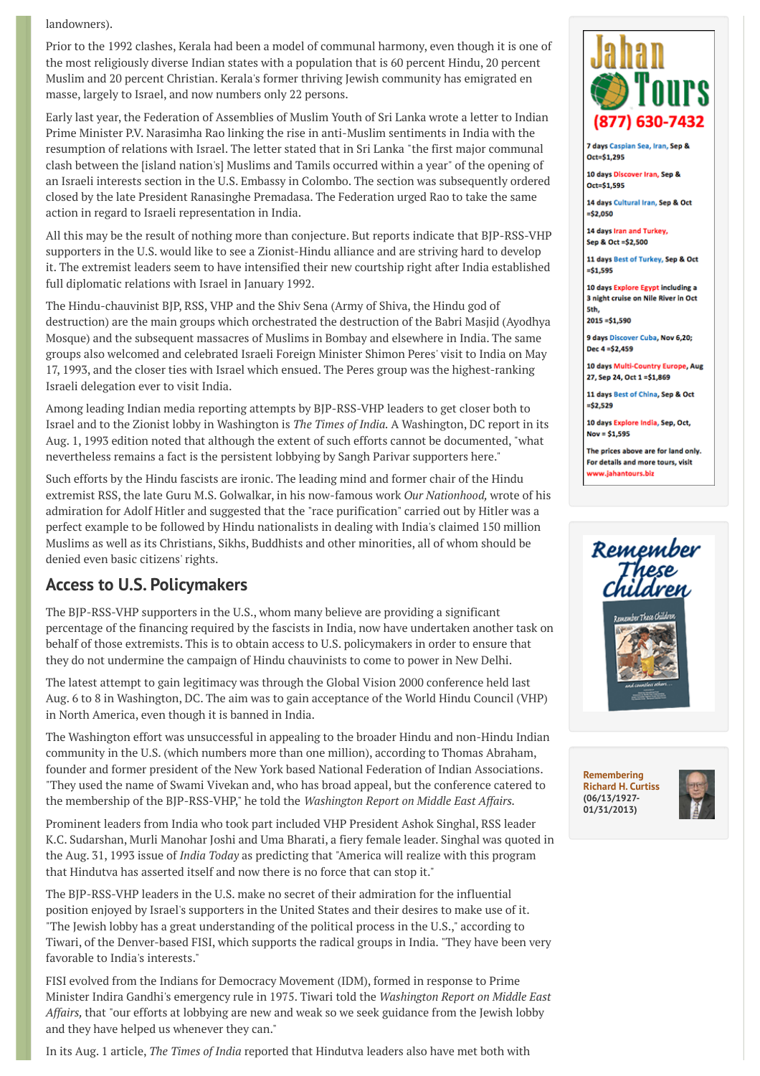landowners).

Prior to the 1992 clashes, Kerala had been a model of communal harmony, even though it is one of the most religiously diverse Indian states with a population that is 60 percent Hindu, 20 percent Muslim and 20 percent Christian. Kerala's former thriving Jewish community has emigrated en masse, largely to Israel, and now numbers only 22 persons.

Early last year, the Federation of Assemblies of Muslim Youth of Sri Lanka wrote a letter to Indian Prime Minister P.V. Narasimha Rao linking the rise in anti-Muslim sentiments in India with the resumption of relations with Israel. The letter stated that in Sri Lanka "the first major communal clash between the [island nation's] Muslims and Tamils occurred within a year" of the opening of an Israeli interests section in the U.S. Embassy in Colombo. The section was subsequently ordered closed by the late President Ranasinghe Premadasa. The Federation urged Rao to take the same action in regard to Israeli representation in India.

All this may be the result of nothing more than conjecture. But reports indicate that BJP-RSS-VHP supporters in the U.S. would like to see a Zionist-Hindu alliance and are striving hard to develop it. The extremist leaders seem to have intensified their new courtship right after India established full diplomatic relations with Israel in January 1992.

The Hindu-chauvinist BJP, RSS, VHP and the Shiv Sena (Army of Shiva, the Hindu god of destruction) are the main groups which orchestrated the destruction of the Babri Masjid (Ayodhya Mosque) and the subsequent massacres of Muslims in Bombay and elsewhere in India. The same groups also welcomed and celebrated Israeli Foreign Minister Shimon Peres' visit to India on May 17, 1993, and the closer ties with Israel which ensued. The Peres group was the highest-ranking Israeli delegation ever to visit India.

Among leading Indian media reporting attempts by BJP-RSS-VHP leaders to get closer both to Israel and to the Zionist lobby in Washington is *The Times of India.* A Washington, DC report in its Aug. 1, 1993 edition noted that although the extent of such efforts cannot be documented, "what nevertheless remains a fact is the persistent lobbying by Sangh Parivar supporters here."

Such efforts by the Hindu fascists are ironic. The leading mind and former chair of the Hindu extremist RSS, the late Guru M.S. Golwalkar, in his now-famous work *Our Nationhood,* wrote of his admiration for Adolf Hitler and suggested that the "race purification" carried out by Hitler was a perfect example to be followed by Hindu nationalists in dealing with India's claimed 150 million Muslims as well as its Christians, Sikhs, Buddhists and other minorities, all of whom should be denied even basic citizens' rights.

#### **Access to U.S. Policymakers**

The BJP-RSS-VHP supporters in the U.S., whom many believe are providing a significant percentage of the financing required by the fascists in India, now have undertaken another task on behalf of those extremists. This is to obtain access to U.S. policymakers in order to ensure that they do not undermine the campaign of Hindu chauvinists to come to power in New Delhi.

The latest attempt to gain legitimacy was through the Global Vision 2000 conference held last Aug. 6 to 8 in Washington, DC. The aim was to gain acceptance of the World Hindu Council (VHP) in North America, even though it is banned in India.

The Washington effort was unsuccessful in appealing to the broader Hindu and non-Hindu Indian community in the U.S. (which numbers more than one million), according to Thomas Abraham, founder and former president of the New York based National Federation of Indian Associations. "They used the name of Swami Vivekan and, who has broad appeal, but the conference catered to the membership of the BJP-RSS-VHP," he told the *Washington Report on Middle East Affairs.*

Prominent leaders from India who took part included VHP President Ashok Singhal, RSS leader K.C. Sudarshan, Murli Manohar Joshi and Uma Bharati, a fiery female leader. Singhal was quoted in the Aug. 31, 1993 issue of *India Today* as predicting that "America will realize with this program that Hindutva has asserted itself and now there is no force that can stop it."

The BJP-RSS-VHP leaders in the U.S. make no secret of their admiration for the influential position enjoyed by Israel's supporters in the United States and their desires to make use of it. "The Jewish lobby has a great understanding of the political process in the U.S.," according to Tiwari, of the Denver-based FISI, which supports the radical groups in India. "They have been very favorable to India's interests."

FISI evolved from the Indians for Democracy Movement (IDM), formed in response to Prime Minister Indira Gandhi's emergency rule in 1975. Tiwari told the *Washington Report on Middle East Affairs,* that "our efforts at lobbying are new and weak so we seek guidance from the Jewish lobby and they have helped us whenever they can."

In its Aug. 1 article, *The Times of India* reported that Hindutva leaders also have met both with



7 days Caspian Sea, Iran, Sep 8 Oct=\$1.295

10 days Discover Iran, Sep & Oct=\$1.595

14 days Cultural Iran, Sep & Oct  $=$ \$2.050

14 days Iran and Turkey, Sep & Oct =\$2,500

11 days Best of Turkey, Sep & Oct  $= $1,595$ 

10 days Explore Egypt including a 3 night cruise on Nile River in Oct Sth.

 $2015 = $1,590$ 

9 days Discover Cuba, Nov 6,20; Dec 4 = \$2,459

10 days Multi-Country Europe, Aug 27, Sep 24, Oct 1=\$1,869

11 days Best of China, Sep & Oct  $=$ \$2.529

10 days Explore India, Sep, Oct, Nov =  $$1,595$ 

The prices above are for land only. For details and more tours, visit ww.iahantours.biz



**Remembering [Richard H. Curtiss](http://www.wrmea.org/remembering-richard-h.-curtiss-june-131927-jan.-31-2013.html) (06/13/1927- 01/31/2013)**

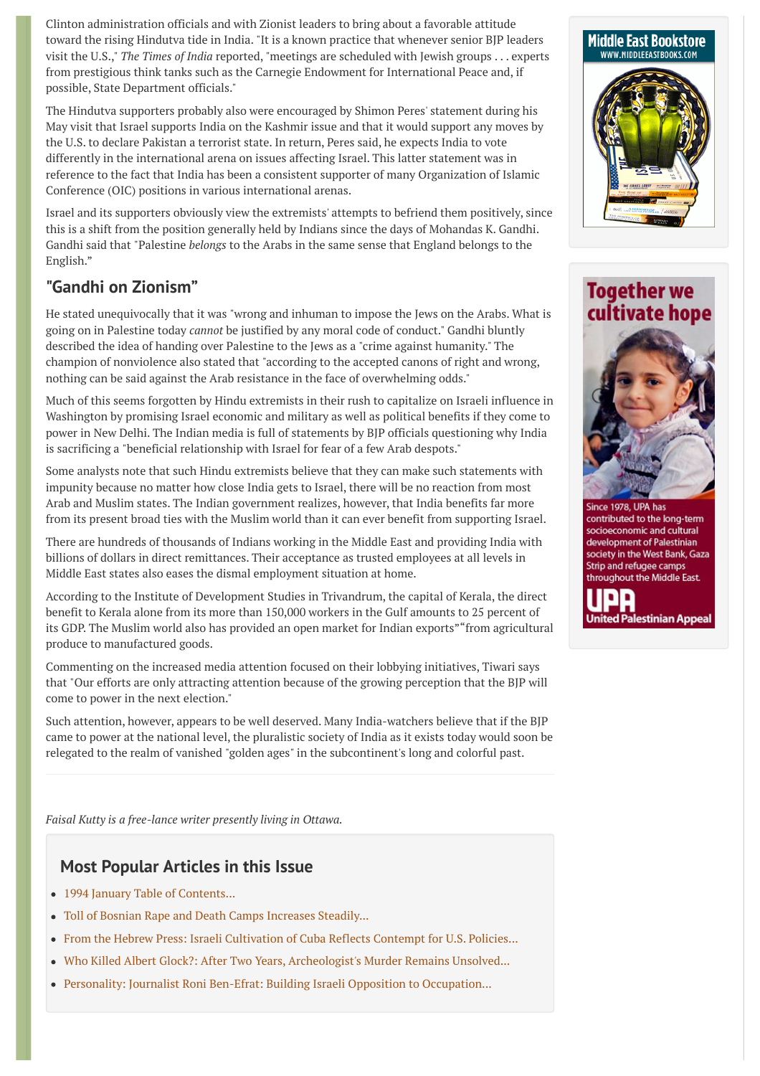Clinton administration officials and with Zionist leaders to bring about a favorable attitude toward the rising Hindutva tide in India. "It is a known practice that whenever senior BJP leaders visit the U.S.," *The Times of India* reported, "meetings are scheduled with Jewish groups . . . experts from prestigious think tanks such as the Carnegie Endowment for International Peace and, if possible, State Department officials."

The Hindutva supporters probably also were encouraged by Shimon Peres' statement during his May visit that Israel supports India on the Kashmir issue and that it would support any moves by the U.S. to declare Pakistan a terrorist state. In return, Peres said, he expects India to vote differently in the international arena on issues affecting Israel. This latter statement was in reference to the fact that India has been a consistent supporter of many Organization of Islamic Conference (OIC) positions in various international arenas.

Israel and its supporters obviously view the extremists' attempts to befriend them positively, since this is a shift from the position generally held by Indians since the days of Mohandas K. Gandhi. Gandhi said that "Palestine *belongs* to the Arabs in the same sense that England belongs to the English."

#### **"Gandhi on Zionism"**

He stated unequivocally that it was "wrong and inhuman to impose the Jews on the Arabs. What is going on in Palestine today *cannot* be justified by any moral code of conduct." Gandhi bluntly described the idea of handing over Palestine to the Jews as a "crime against humanity." The champion of nonviolence also stated that "according to the accepted canons of right and wrong, nothing can be said against the Arab resistance in the face of overwhelming odds."

Much of this seems forgotten by Hindu extremists in their rush to capitalize on Israeli influence in Washington by promising Israel economic and military as well as political benefits if they come to power in New Delhi. The Indian media is full of statements by BJP officials questioning why India is sacrificing a "beneficial relationship with Israel for fear of a few Arab despots."

Some analysts note that such Hindu extremists believe that they can make such statements with impunity because no matter how close India gets to Israel, there will be no reaction from most Arab and Muslim states. The Indian government realizes, however, that India benefits far more from its present broad ties with the Muslim world than it can ever benefit from supporting Israel.

There are hundreds of thousands of Indians working in the Middle East and providing India with billions of dollars in direct remittances. Their acceptance as trusted employees at all levels in Middle East states also eases the dismal employment situation at home.

According to the Institute of Development Studies in Trivandrum, the capital of Kerala, the direct benefit to Kerala alone from its more than 150,000 workers in the Gulf amounts to 25 percent of its GDP. The Muslim world also has provided an open market for Indian exports""from agricultural produce to manufactured goods.

Commenting on the increased media attention focused on their lobbying initiatives, Tiwari says that "Our efforts are only attracting attention because of the growing perception that the BJP will come to power in the next election."

Such attention, however, appears to be well deserved. Many India-watchers believe that if the BJP came to power at the national level, the pluralistic society of India as it exists today would soon be relegated to the realm of vanished "golden ages" in the subcontinent's long and colorful past.

*Faisal Kutty is a free-lance writer presently living in Ottawa.*

#### **Most Popular Articles in this Issue**

- [1994 January Table of Contents...](http://www.wrmea.org/1994-january/1994-january-table-of-contents.html)
- [Toll of Bosnian Rape and Death Camps Increases Steadily...](http://www.wrmea.org/1994-january/toll-of-bosnian-rape-and-death-camps-increases-steadily.html)
- [From the Hebrew Press: Israeli Cultivation of Cuba Reflects Contempt for U.S. Policies...](http://www.wrmea.org/1994-january/from-the-hebrew-press-israeli-cultivation-of-cuba-reflects-contempt-for-u.s.-policies.html)
- [Who Killed Albert Glock?: After Two Years, Archeologist's Murder Remains Unsolved...](http://www.wrmea.org/1994-january/who-killed-albert-glock-after-two-years-archeologist-s-murder-remains-unsolved.html)
- [Personality: Journalist Roni Ben-Efrat: Building Israeli Opposition to Occupation...](http://www.wrmea.org/1994-january/personality-journalist-roni-ben-efrat-building-israeli-opposition-to-occupation.html)



### **Together we** cultivate hope



Since 1978, UPA has contributed to the long-term socioeconomic and cultural development of Palestinian society in the West Bank, Gaza Strip and refugee camps throughout the Middle East.